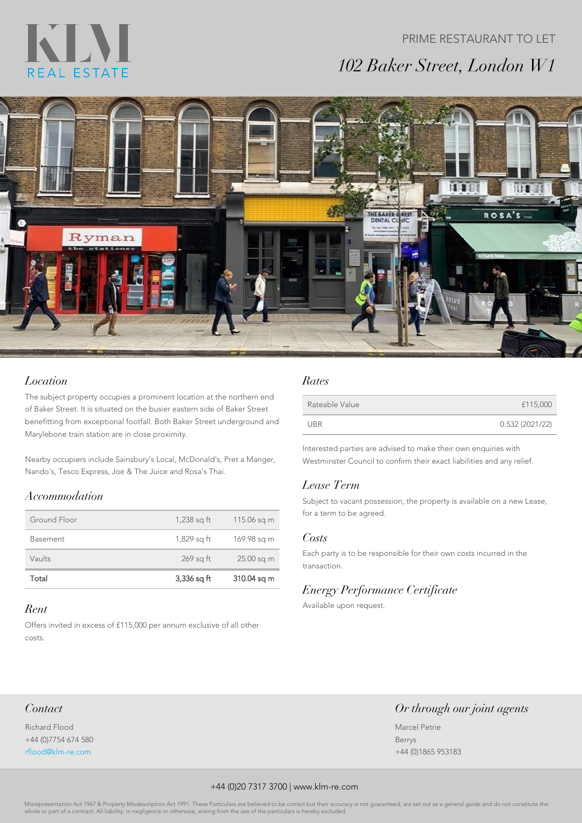# KIN REAL ESTATE

# PRIME RESTAURANT TO LET *102 Baker Street, London W1*



### *Location*

The subject property occupies a prominent location at the northern end of Baker Street. It is situated on the busier eastern side of Baker Street benefitting from exceptional footfall. Both Baker Street underground and Marylebone train station are in close proximity.

Nearby occupiers include Sainsbury's Local, McDonald's, Pret a Manger, Nando's, Tesco Express, Joe & The Juice and Rosa's Thai.

#### *Accommodation*

| Total           | $3,336$ sq ft | 310.04 sq m |
|-----------------|---------------|-------------|
| Vaults          | $269$ sq ft   | 25.00 sq m  |
| <b>Basement</b> | 1,829 sq ft   | 169.98 sq m |
| Ground Floor    | $1,238$ sq ft | 115.06 sq m |

#### *Rent*

Offers invited in excess of £115,000 per annum exclusive of all other costs.

#### *Rates*

| Rateable Value | £115,000       |
|----------------|----------------|
| UBR            | 0.532(2021/22) |

Interested parties are advised to make their own enquiries with Westminster Council to confirm their exact liabilities and any relief.

#### *Lease Term*

Subject to vacant possession, the property is available on a new Lease, for a term to be agreed.

#### *Costs*

Each party is to be responsible for their own costs incurred in the transaction.

## *Energy Performance Certificate*

Available upon request.

#### *Contact*

Richard Flood +44 (0)7754 674 580 rflood@klm-re.com

#### *Or through our joint agents*

Marcel Petrie Berrys +44 (0)1865 953183

#### +44 (0)20 7317 3700 | www.klm-re.com

Misrepresentation Act 1967 & Property Misdescription Act 1991. These Particulars are believed to be correct but their accuracy is not guaranteed, are set out as a general guide and do not constitute the or part of a contract. All liability, in negligence or otherwise, arising from the use of the particulars is negligence or otherwise, arising from the use of the particular